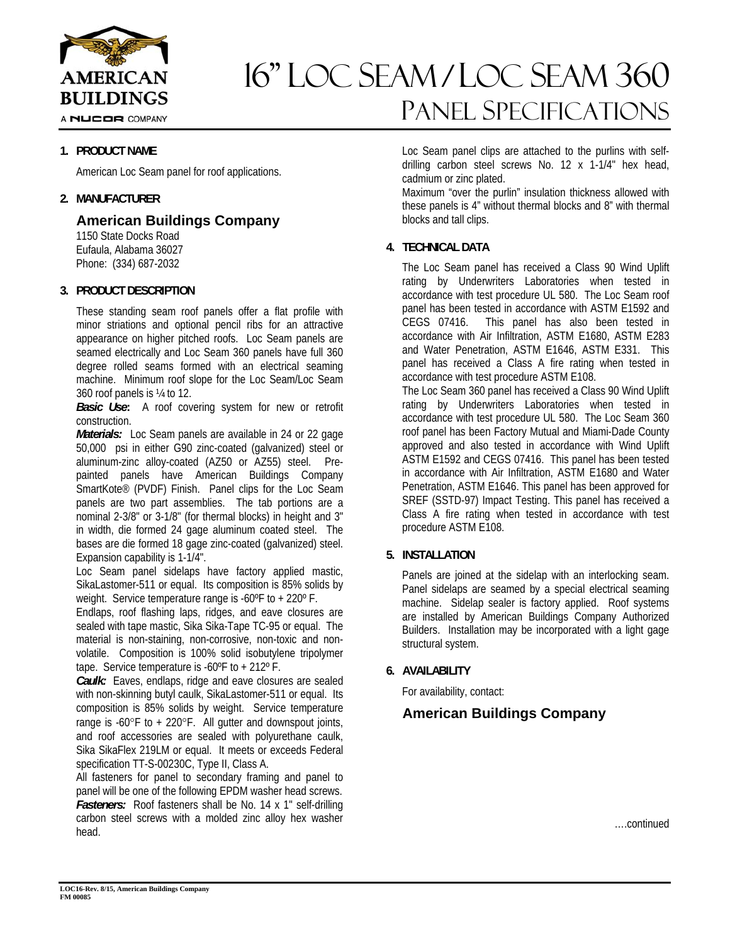

16" Loc seam / loc seam 360 Panel Specifications

## **1. PRODUCT NAME**

American Loc Seam panel for roof applications.

## **2. MANUFACTURER**

**American Buildings Company** 

 1150 State Docks Road Eufaula, Alabama 36027 Phone: (334) 687-2032

## **3. PRODUCT DESCRIPTION**

These standing seam roof panels offer a flat profile with minor striations and optional pencil ribs for an attractive appearance on higher pitched roofs. Loc Seam panels are seamed electrically and Loc Seam 360 panels have full 360 degree rolled seams formed with an electrical seaming machine. Minimum roof slope for the Loc Seam/Loc Seam 360 roof panels is ¼ to 12.

*Basic Use***:** A roof covering system for new or retrofit construction.

*Materials:* Loc Seam panels are available in 24 or 22 gage 50,000 psi in either G90 zinc-coated (galvanized) steel or aluminum-zinc alloy-coated (AZ50 or AZ55) steel. Prepainted panels have American Buildings Company SmartKote® (PVDF) Finish. Panel clips for the Loc Seam panels are two part assemblies. The tab portions are a nominal 2-3/8" or 3-1/8" (for thermal blocks) in height and 3" in width, die formed 24 gage aluminum coated steel. The bases are die formed 18 gage zinc-coated (galvanized) steel. Expansion capability is 1-1/4".

Loc Seam panel sidelaps have factory applied mastic, SikaLastomer-511 or equal. Its composition is 85% solids by weight. Service temperature range is -60ºF to + 220º F.

Endlaps, roof flashing laps, ridges, and eave closures are sealed with tape mastic, Sika Sika-Tape TC-95 or equal. The material is non-staining, non-corrosive, non-toxic and nonvolatile. Composition is 100% solid isobutylene tripolymer tape. Service temperature is -60ºF to + 212º F.

*Caulk:* Eaves, endlaps, ridge and eave closures are sealed with non-skinning butyl caulk, SikaLastomer-511 or equal. Its composition is 85% solids by weight. Service temperature range is  $-60^{\circ}$ F to  $+220^{\circ}$ F. All gutter and downspout joints, and roof accessories are sealed with polyurethane caulk, Sika SikaFlex 219LM or equal. It meets or exceeds Federal specification TT-S-00230C, Type II, Class A.

All fasteners for panel to secondary framing and panel to panel will be one of the following EPDM washer head screws. *Fasteners:* Roof fasteners shall be No. 14 x 1" self-drilling carbon steel screws with a molded zinc alloy hex washer head.

Loc Seam panel clips are attached to the purlins with selfdrilling carbon steel screws No. 12 x 1-1/4" hex head, cadmium or zinc plated.

Maximum "over the purlin" insulation thickness allowed with these panels is 4" without thermal blocks and 8" with thermal blocks and tall clips.

# **4. TECHNICAL DATA**

The Loc Seam panel has received a Class 90 Wind Uplift rating by Underwriters Laboratories when tested in accordance with test procedure UL 580. The Loc Seam roof panel has been tested in accordance with ASTM E1592 and CEGS 07416. This panel has also been tested in accordance with Air Infiltration, ASTM E1680, ASTM E283 and Water Penetration, ASTM E1646, ASTM E331. This panel has received a Class A fire rating when tested in accordance with test procedure ASTM E108.

The Loc Seam 360 panel has received a Class 90 Wind Uplift rating by Underwriters Laboratories when tested in accordance with test procedure UL 580. The Loc Seam 360 roof panel has been Factory Mutual and Miami-Dade County approved and also tested in accordance with Wind Uplift ASTM E1592 and CEGS 07416. This panel has been tested in accordance with Air Infiltration, ASTM E1680 and Water Penetration, ASTM E1646. This panel has been approved for SREF (SSTD-97) Impact Testing. This panel has received a Class A fire rating when tested in accordance with test procedure ASTM E108.

# **5. INSTALLATION**

Panels are joined at the sidelap with an interlocking seam. Panel sidelaps are seamed by a special electrical seaming machine. Sidelap sealer is factory applied. Roof systems are installed by American Buildings Company Authorized Builders. Installation may be incorporated with a light gage structural system.

## **6. AVAILABILITY**

For availability, contact:

# **American Buildings Company**

….continued